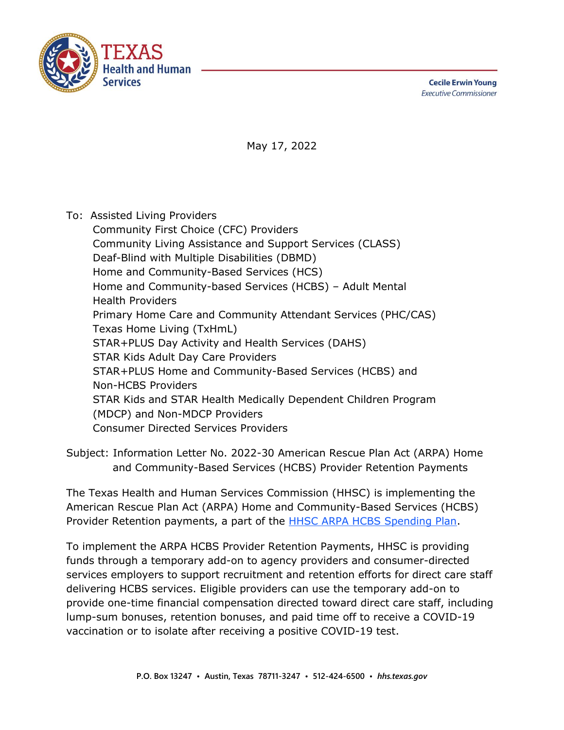

**Cecile Erwin Young Executive Commissioner** 

May 17, 2022

To: Assisted Living Providers

Community First Choice (CFC) Providers Community Living Assistance and Support Services (CLASS) Deaf-Blind with Multiple Disabilities (DBMD) Home and Community-Based Services (HCS) Home and Community-based Services (HCBS) – Adult Mental Health Providers Primary Home Care and Community Attendant Services (PHC/CAS) Texas Home Living (TxHmL) STAR+PLUS Day Activity and Health Services (DAHS) STAR Kids Adult Day Care Providers STAR+PLUS Home and Community-Based Services (HCBS) and Non-HCBS Providers STAR Kids and STAR Health Medically Dependent Children Program (MDCP) and Non-MDCP Providers Consumer Directed Services Providers

Subject: Information Letter No. 2022-30 American Rescue Plan Act (ARPA) Home and Community-Based Services (HCBS) Provider Retention Payments

The Texas Health and Human Services Commission (HHSC) is implementing the American Rescue Plan Act (ARPA) Home and Community-Based Services (HCBS) Provider Retention payments, a part of the [HHSC ARPA HCBS Spending Plan.](https://www.hhs.texas.gov/providers/long-term-care-providers/long-term-care-provider-resources/home-community-based-services-hcbs)

To implement the ARPA HCBS Provider Retention Payments, HHSC is providing funds through a temporary add-on to agency providers and consumer-directed services employers to support recruitment and retention efforts for direct care staff delivering HCBS services. Eligible providers can use the temporary add-on to provide one-time financial compensation directed toward direct care staff, including lump-sum bonuses, retention bonuses, and paid time off to receive a COVID-19 vaccination or to isolate after receiving a positive COVID-19 test.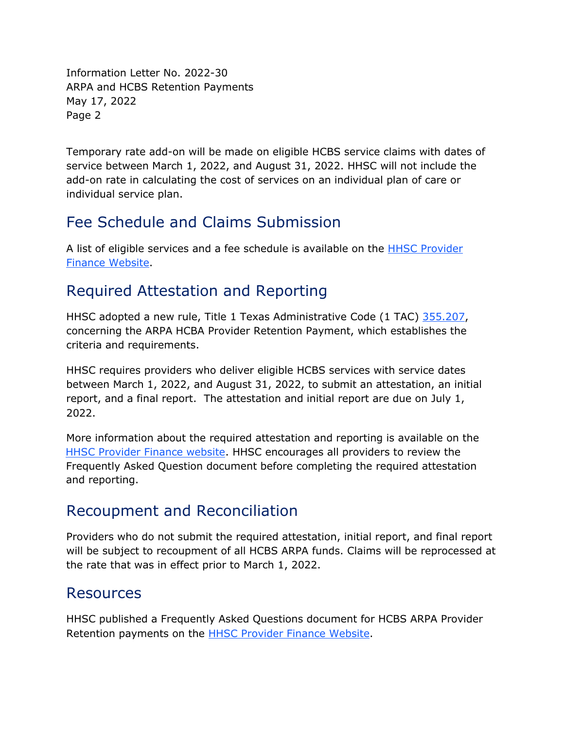Information Letter No. 2022-30 ARPA and HCBS Retention Payments May 17, 2022 Page 2

Temporary rate add-on will be made on eligible HCBS service claims with dates of service between March 1, 2022, and August 31, 2022. HHSC will not include the add-on rate in calculating the cost of services on an individual plan of care or individual service plan.

## Fee Schedule and Claims Submission

A list of eligible services and a fee schedule is available on the [HHSC Provider](https://pfd.hhs.texas.gov/long-term-services-supports) [Finance Website.](https://pfd.hhs.texas.gov/long-term-services-supports)

## Required Attestation and Reporting

HHSC adopted a new rule, Title 1 Texas Administrative Code (1 TAC) [355.207,](https://texreg.sos.state.tx.us/public/readtac$ext.TacPage?sl=R&app=9&p_dir=&p_rloc=&p_tloc=&p_ploc=&pg=1&p_tac=&ti=1&pt=15&ch=355&rl=207) concerning the ARPA HCBA Provider Retention Payment, which establishes the criteria and requirements.

HHSC requires providers who deliver eligible HCBS services with service dates between March 1, 2022, and August 31, 2022, to submit an attestation, an initial report, and a final report. The attestation and initial report are due on July 1, 2022.

More information about the required attestation and reporting is available on the [HHSC Provider Finance website.](https://pfd.hhs.texas.gov/long-term-services-supports) HHSC encourages all providers to review the Frequently Asked Question document before completing the required attestation and reporting.

## Recoupment and Reconciliation

Providers who do not submit the required attestation, initial report, and final report will be subject to recoupment of all HCBS ARPA funds. Claims will be reprocessed at the rate that was in effect prior to March 1, 2022.

## Resources

HHSC published a Frequently Asked Questions document for HCBS ARPA Provider Retention payments on the **HHSC Provider Finance Website**.